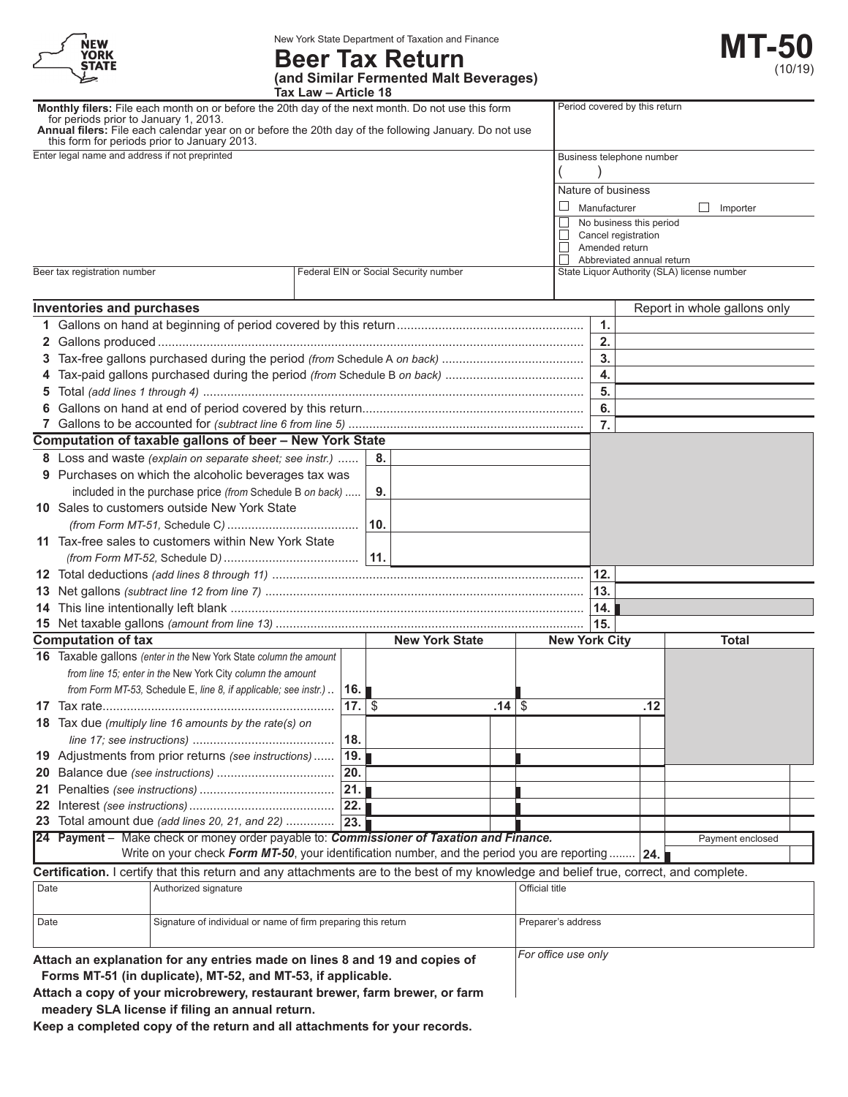| <b>NEW</b><br><b>YORK</b><br><b>STATE</b> |
|-------------------------------------------|
|                                           |

New York State Department of Taxation and Finance

## **Beer Tax Return (and Similar Fermented Malt Beverages)**

**Tax Law – Article 18**

|      | Monthly filers: File each month on or before the 20th day of the next month. Do not use this form<br>for periods prior to January 1, 2013.<br>Annual filers: File each calendar year on or before the 20th day of the following January. Do not use |             |                                       |       |                      |              | Period covered by this return         |                                             |
|------|-----------------------------------------------------------------------------------------------------------------------------------------------------------------------------------------------------------------------------------------------------|-------------|---------------------------------------|-------|----------------------|--------------|---------------------------------------|---------------------------------------------|
|      | this form for periods prior to January 2013.                                                                                                                                                                                                        |             |                                       |       |                      |              |                                       |                                             |
|      | Enter legal name and address if not preprinted                                                                                                                                                                                                      |             |                                       |       |                      |              | Business telephone number             |                                             |
|      |                                                                                                                                                                                                                                                     |             |                                       |       |                      |              |                                       |                                             |
|      |                                                                                                                                                                                                                                                     |             |                                       |       |                      |              | Nature of business                    |                                             |
|      |                                                                                                                                                                                                                                                     |             |                                       |       | ⊔                    | Manufacturer |                                       | Importer<br>⊔                               |
|      |                                                                                                                                                                                                                                                     |             |                                       |       |                      |              | No business this period               |                                             |
|      |                                                                                                                                                                                                                                                     |             |                                       |       | $\Box$<br>$\Box$     |              | Cancel registration<br>Amended return |                                             |
|      |                                                                                                                                                                                                                                                     |             |                                       |       |                      |              | Abbreviated annual return             |                                             |
|      | Beer tax registration number                                                                                                                                                                                                                        |             | Federal EIN or Social Security number |       |                      |              |                                       | State Liquor Authority (SLA) license number |
|      | Inventories and purchases                                                                                                                                                                                                                           |             |                                       |       |                      |              |                                       | Report in whole gallons only                |
| 1.   |                                                                                                                                                                                                                                                     |             |                                       |       |                      | 1.           |                                       |                                             |
|      |                                                                                                                                                                                                                                                     |             |                                       |       |                      | 2.           |                                       |                                             |
| 3.   |                                                                                                                                                                                                                                                     |             |                                       |       |                      | 3.           |                                       |                                             |
| 4    |                                                                                                                                                                                                                                                     |             |                                       |       |                      | 4.           |                                       |                                             |
| 5    |                                                                                                                                                                                                                                                     |             |                                       |       |                      | 5.           |                                       |                                             |
|      |                                                                                                                                                                                                                                                     |             |                                       |       |                      | 6.           |                                       |                                             |
|      |                                                                                                                                                                                                                                                     |             |                                       |       |                      | 7.           |                                       |                                             |
|      | <b>Computation of taxable gallons of beer - New York State</b>                                                                                                                                                                                      |             |                                       |       |                      |              |                                       |                                             |
|      |                                                                                                                                                                                                                                                     |             |                                       |       |                      |              |                                       |                                             |
|      | 8 Loss and waste (explain on separate sheet; see instr.)                                                                                                                                                                                            |             | 8.                                    |       |                      |              |                                       |                                             |
|      | 9 Purchases on which the alcoholic beverages tax was                                                                                                                                                                                                |             |                                       |       |                      |              |                                       |                                             |
|      | included in the purchase price (from Schedule B on back)                                                                                                                                                                                            |             | 9.                                    |       |                      |              |                                       |                                             |
|      | 10 Sales to customers outside New York State                                                                                                                                                                                                        |             |                                       |       |                      |              |                                       |                                             |
|      |                                                                                                                                                                                                                                                     |             | 10.                                   |       |                      |              |                                       |                                             |
|      | 11 Tax-free sales to customers within New York State                                                                                                                                                                                                |             |                                       |       |                      |              |                                       |                                             |
|      |                                                                                                                                                                                                                                                     |             |                                       |       |                      |              |                                       |                                             |
|      |                                                                                                                                                                                                                                                     |             |                                       |       |                      | 12.          |                                       |                                             |
|      |                                                                                                                                                                                                                                                     |             |                                       |       |                      | 13.          |                                       |                                             |
|      |                                                                                                                                                                                                                                                     |             |                                       |       |                      | 14.          |                                       |                                             |
|      |                                                                                                                                                                                                                                                     |             |                                       |       |                      | 15.          |                                       |                                             |
|      | <b>Computation of tax</b>                                                                                                                                                                                                                           |             | <b>New York State</b>                 |       | <b>New York City</b> |              |                                       | <b>Total</b>                                |
|      | 16 Taxable gallons (enter in the New York State column the amount                                                                                                                                                                                   |             |                                       |       |                      |              |                                       |                                             |
|      | from line 15; enter in the New York City column the amount                                                                                                                                                                                          |             |                                       |       |                      |              |                                       |                                             |
|      | from Form MT-53, Schedule E, line 8, if applicable; see instr.)                                                                                                                                                                                     | ∣16. I      |                                       |       |                      |              |                                       |                                             |
|      |                                                                                                                                                                                                                                                     | $17.1$ \$   |                                       | ا 14. | \$                   |              | .12                                   |                                             |
|      | <b>18</b> Tax due (multiply line 16 amounts by the rate(s) on                                                                                                                                                                                       |             |                                       |       |                      |              |                                       |                                             |
|      |                                                                                                                                                                                                                                                     | 18.         |                                       |       |                      |              |                                       |                                             |
|      | 19 Adjustments from prior returns (see instructions)                                                                                                                                                                                                | 19.         |                                       |       |                      |              |                                       |                                             |
|      |                                                                                                                                                                                                                                                     | 20.         |                                       |       |                      |              |                                       |                                             |
|      |                                                                                                                                                                                                                                                     | 21.         |                                       |       |                      |              |                                       |                                             |
|      |                                                                                                                                                                                                                                                     | $\vert$ 22. |                                       |       |                      |              |                                       |                                             |
|      | 23 Total amount due (add lines 20, 21, and 22)  23.                                                                                                                                                                                                 |             |                                       |       |                      |              |                                       |                                             |
|      | 24 Payment - Make check or money order payable to: Commissioner of Taxation and Finance.                                                                                                                                                            |             |                                       |       |                      |              |                                       | Payment enclosed                            |
|      | Write on your check Form MT-50, your identification number, and the period you are reporting    24.                                                                                                                                                 |             |                                       |       |                      |              |                                       |                                             |
|      | Certification. I certify that this return and any attachments are to the best of my knowledge and belief true, correct, and complete.                                                                                                               |             |                                       |       |                      |              |                                       |                                             |
| Date | Authorized signature                                                                                                                                                                                                                                |             |                                       |       | Official title       |              |                                       |                                             |
|      |                                                                                                                                                                                                                                                     |             |                                       |       |                      |              |                                       |                                             |
|      |                                                                                                                                                                                                                                                     |             |                                       |       |                      |              |                                       |                                             |
| Date | Signature of individual or name of firm preparing this return                                                                                                                                                                                       |             |                                       |       | Preparer's address   |              |                                       |                                             |
|      |                                                                                                                                                                                                                                                     |             |                                       |       |                      |              |                                       |                                             |
|      | Attach an explanation for any entries made on lines 8 and 19 and copies of                                                                                                                                                                          |             |                                       |       | For office use only  |              |                                       |                                             |
|      | Forms MT-51 (in duplicate), MT-52, and MT-53, if applicable.                                                                                                                                                                                        |             |                                       |       |                      |              |                                       |                                             |
|      | Attach a copy of your microbrewery, restaurant brewer, farm brewer, or farm                                                                                                                                                                         |             |                                       |       |                      |              |                                       |                                             |
|      | meadery SLA license if filing an annual return.                                                                                                                                                                                                     |             |                                       |       |                      |              |                                       |                                             |

**Keep a completed copy of the return and all attachments for your records.**